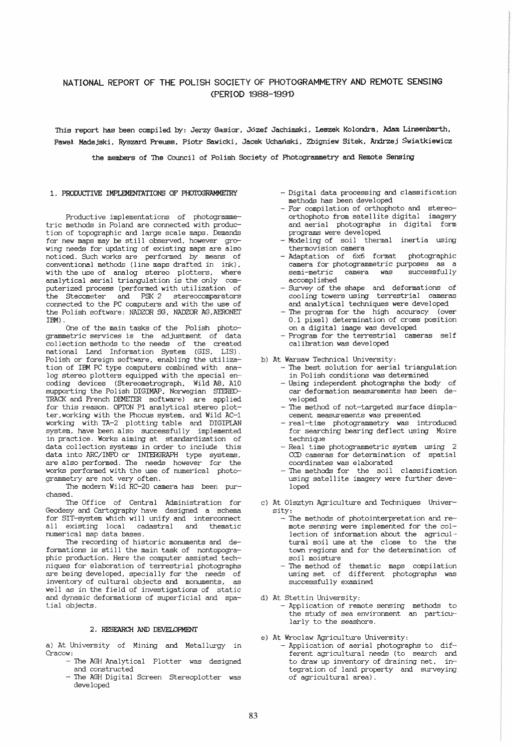# NATIONAL REPORT OF THE POLISH SOCIETY OF PHOTOGRAMMETRY AND REMOTE SENSING (PERIOD 1988-1991)

This report has been compiled by: Jerzy Gasior, Józef Jachimski, Leszek Kolondra, Adam Linsenbarth, Paweł Madejski, Ryszard Preuss, Piotr Sawicki, Jacek Uchański, Zbigniew Sitek, Andrzej Świątkiewicz

the members of The Council of Polish Society of Photogrammetry and Remote Sensing

### 1. PRODUCTIVE IMPLEMENTATIONS OF PHOTOGRAMMETRY

Productive implementations of photogrammetric methods in Poland are connected with production of topographic and large scale maps. Demands for new maps may be still observed, however growing needs for updating of existing maps are also noticed. Such works are performed by means of conventional methods (line maps drafted in ink), with the use of analog stereo plotters, where analytical aerial triangulation is the only com- puterized process (performed with utilization of the Stecometer and PSK-2 stereocomparators connected to the PC computers and with the use of the Polish software: NADZOR SG, NADZOR AG, AERONET IBM) .

One of the main tasks of the Polish photogrammetric services is the adjustment of data collection methods to the needs of the created national Land Information System (GIS, LIS). Polish or foreign software, enabling the utilization of IBM PC type computers combined with ana-<br>log stereo plotters equipped with the special en-<br>coding devices (Stereometrograph, Wild AB, A10 supporting the Pol ish DIGlMAP, Norwegian STERED-TRACK and French DEMEI'ER software) are applied for this reason. OPTON Pi analytical stereo plotter,working with the Phocus system, and Wild AC-l working with TA-2 plotting table and DIGIPLAN system, have been also successfully implemented in practice. Works aiming at standardization of data collection systems in order to include this data into ARC/INFO or INTERGRAPH type systems, are also performed. The needs however for the works performed with the use of numerical photogrammetry are not very often.

The modern Wild RC-20 camera has been purchased.

1he Office of Central Administration for Geodesy and Cartography have designed a schema for SIT-system which will unify and interconnect all existing local cadastral and thematic numerical map data bases.

The recording of historic monuments and deformations is still the main task of nontopographic production. Here the computer assisted tech-<br>niques for elaboration of terrestrial photographs niques for elaboration of terrestrial photographs are being developed, specially for the needs of inventory of cultural objects and monuments, as well as in the field of investigations of static and dynamic deformations of superficial and spatial objects.

## 2. RESEARCH AND DEVELOPMENT

a) At University of Mining and Metallurgy in Cracow:

- The AGH Analytical Plotter was designed and constructed
- The AGH Digital Screen Stereoplotter was developed
- Digital data processing and classification
- For compilation of orthophoto and stereoorthophoto from satellite digital imagery and aerial photographs in digital form<br>programs were developed
- Modeling of soil thermal inertia using<br>thermovision camera
- $-$  Adaptation of 6x6 format photographic camera for photogrammetric purposes as a<br>semi-metric camera was successfully semi-metric camera was<br>accomplished
- accomplished Survey of the shape and deformations of cooling towers using terrestrial cameras and analytical techniques were developed
- The program for the high accuracy (over 0.1 pixel) determination of cross position on a digital image was developed
- Program for the terrestrial cameras self calibration was developed

- b) At Warsaw Technical University:<br>- The best solution for aerial triangulation<br>in Polish conditions was determined
	- Using independent photographs the body of car deformation measurements has been developed
	- The method of not-targeted surface displacement measurements was presented
	- real-time photogrammetry was introduced for searching bearing deflect using Moire
	- $-$  Real time photogrammetric system using 2 CCD cameras for determination of spatial
	- The methods for the soil classification using satellite imagery were further developed
- c) At Olsztyn Agriculture and Techniques University:
	- The methods of photointerpretation and remote sensing were implemerited for the collection of information about the agricultural soil use at the close to the the town regions and for the determination of soil moisture
	- The method of thematic maps compilation using set of different photographs was successfully examined

d) At Stettin University:

- Application of remote sensing methods to the study of sea environment an particularly to the seashore.

- e) At Wroclaw Agriculture University:
	- Application of aerial photographs to different agricultural needs (to search and to draw up inventory of draining net, integration of land property and surveying of agricultural area).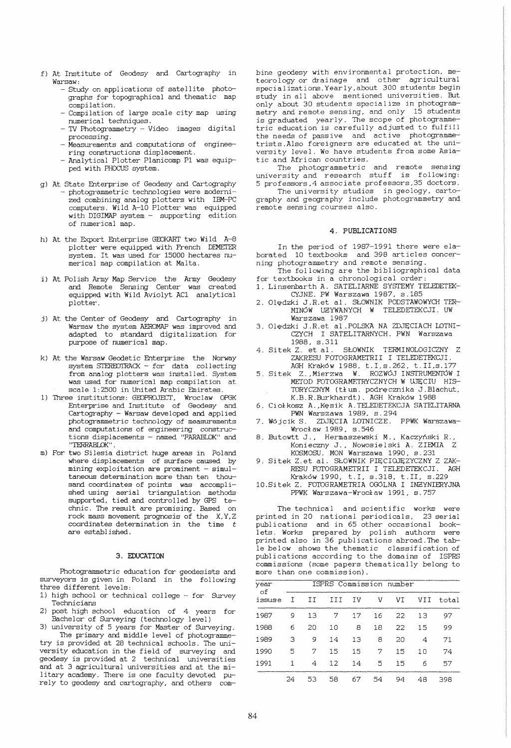- f) At Institute of Geodesy and Cartography in Warsaw:
	- Study on applications of satellite photographs for topographical and thematic map compilation.
	- Compilation of large scale city map using<br>numerical techniques.
	- TV Photogrammetry Video images digital processing.
	- Measurements and computations of engineering constructions displacement.
	- Analytical Plotter Planicomp P1 was equipped with PHOCUS system.
- g) At State Enterprise of Geodesy and Cartography - photogrammetric technologies were modernized combining analog plotters with IBM-PC computers. Wild A-I0 Plotter was equipped with DIGIMAP system - supporting edition of numerical map.
- h) At the Export Enterprise GEOKART two Wi ld A-8 plotter were equipped with French DEMETER system. It was used for 15000 hectares numerical map compilation at Malta.
- i) At Polish Army Map Service the Army Geodesy and Remote Sensing Center was created equipped with Wild Aviolyt AC1 analytical plotter.
- j) At the Center of Geodesy and Cartography in Warsaw the system AEROMAP was improved and adapted to standard digitalization for purpose of numerical map.
- k) At the Warsaw Geodetic Enterprise the Norway system STEREOTRACK - for data collecting from analog plotters was installed. System was used for numerical map compilation at scale 1:2500 in United Arabic Emirates.
- 1) Three institutions: GEOPROJECT, Wroclaw OPGK Enterprise and Institute of Geodesy and Cartography - Warsaw developed and applied photogrammetric technology of measurements and computations of engineering constructions displacements - named "PARABLOK" and<br>"TERRABIOK"
- m) For two Silesia district huge areas in Poland where displacements of surface caused by mining exploitation are prominent  $-$  simultaneous determination more than ten thousand coordinates of points was accomplished using aerial triangulation methods<br>supported, tied and controlled by GPS technic. The result are promising. Based on rock mass movement prognosis of the X,Y,Z coordinates determination in the time  $t$ are established.

#### 3. EDUCATION

Photogrammetric education for geodesists and surveyors is given in Poland in the following three different levels:

- 1) high school or technical college for Survey Technicians
- 2) post high school education of 4 years for Bachelor of Surveying (technology level)

3) university of 5 years for Master of Surveying. The primary and middle level of photogrammetry is provided at 28 technical schools. The university education in the field of surveying and geodesy is provided at 2 technical universities and at 3 agricultural universities and at the military academy. There is one faculty devoted purely to geodesy and cartography, and others com-

bine geodesy with environmental protection, meteorology or drainage and other agricultural specializations. Yearly, about 300 students begin study in all above mentioned universities. But only about 30 students specialize in photogrammetry and remote sensing, and only 15 students is graduated yearly. The scope of photcgrammetric education is carefully adjusted to fulfill the needs of passive and active photcgramme-trists .Also foreigners are educated at the university level. We have students from some Asiatic and African countries.

The photogrammetric and remote sensing university and research stuff is following: 5 professors ,4 associate professors,35 doctors.

The university studies in geology, cartography and geography include photogrammetry and remote sensing courses also.

### 4. PUBLICATIONS

In the period of 1987-1991 there were elaborated 10 textbooks and 398 articles concerning photogrammetry and remote sensing.

- The following are the bibliographical data for textbooks in a chronological order:
- 1. Linsenbarth A. SATELIARNE SYSTEMY TELEDETEK-CYJNE. PW Warszawa 1987, s.185
- 2. Olędzki J.R.et al. SŁOWNIK PODSTAWOWYCH TER-MINOW U2YWANYCH W TELEDETEKCJI. UW Warszawa 1987
- 3. Olędzki J.R.et al. POLSKA NA ZDJĘCIACH LOTNI-CZYCH I SATELITARNYCH. PWN Warszawa
- 1988, s.311<br>4. Sitek Z. et al. SŁOWNIK TERMINOLOGICZNY Z ZAKRESU FOTOGRAMETRII I TELEDETEKCJI. AGH Krakow 1988, t.I,s.262, t.II,s.177
- 5. Sitek Z., Mierzwa W. ROZWÓJ INSTRUMENTÓW I METOD FOTOGRAMETRYCZNYCH W UJĘCIU HIS-TORYCZNYM (tłum. podręcznika J.Blachut, K.B.R.Burkhardt). AGH Krakow 1988
- 6. Ciołkosz A., Kęsik A. TELEDETEKCJA SATELITARNA PWN Warszawa 1989, s.294
- 7. Wojcik S. ZDJĘCIA LOTNICZE. PPWK Warszawa-
- Wroc1aw 1989, s.546 8. Butowtt J., Hermaszewski M., Kaczynski R., Konieczny J., Nowosielski A. ZIEMIA Z KOSMOSU. MON Warszawa 1990, s.231
- 9. Sitek Z.et al. SŁOWNIK PIĘCIOJĘZYCZNY Z ZAK-RESU FOTOGRAMETRII I TELEDETEKCJI. AGH Krakow 1990, t.I. s.318, t.II, s.229
- 10.Sitek Z. FOTOGRAMETRIA OGOLNA I IN2YNIERYJNA PPWK Warszawa-Wroclaw 1991, s.757

The technical and scientific works were printed in 20 national periodicals, 23 serial .<br>publications and in 65 other occasional booklets. Works prepared by polish authors were printed also in 36 publications abroad.The table below shows the thematic classification of publications according to the domains of ISPRS commissions (some papers thematically belong to more than one commission).

| year<br>оf<br>issuse |    | ISPRS Commission number |     |    |    |    |     |       |
|----------------------|----|-------------------------|-----|----|----|----|-----|-------|
|                      | т  | ΙI                      | III | ΙV | V  | VI | VII | total |
| 1987                 | 9  | 13                      | 7   | 17 | 16 | 22 | 13  | 97    |
| 1988                 | 6  | 20                      | 10  | 8  | 18 | 22 | 15  | 99    |
| 1989                 | З  | 9                       | 14  | 13 | 8  | 20 | 4   | 71    |
| 1990                 | 5  | 7                       | 15  | 15 | 7  | 15 | 10  | 74    |
| 1991                 | 1  | 4                       | 12  | 14 | 5  | 15 | 6   | 57    |
|                      | 24 | 53                      | 58  | 67 | 54 | 94 | 48  | 398   |